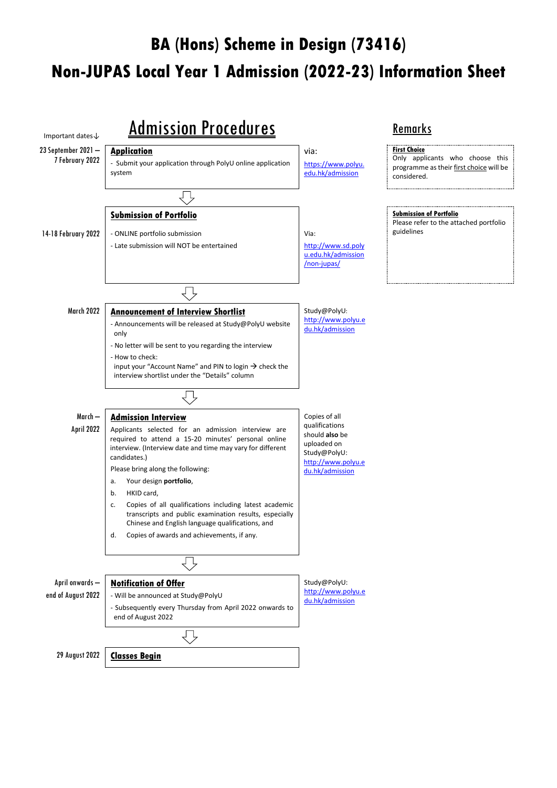# **BA (Hons) Scheme in Design (73416) Non-JUPAS Local Year 1 Admission (2022-23) Information Sheet**

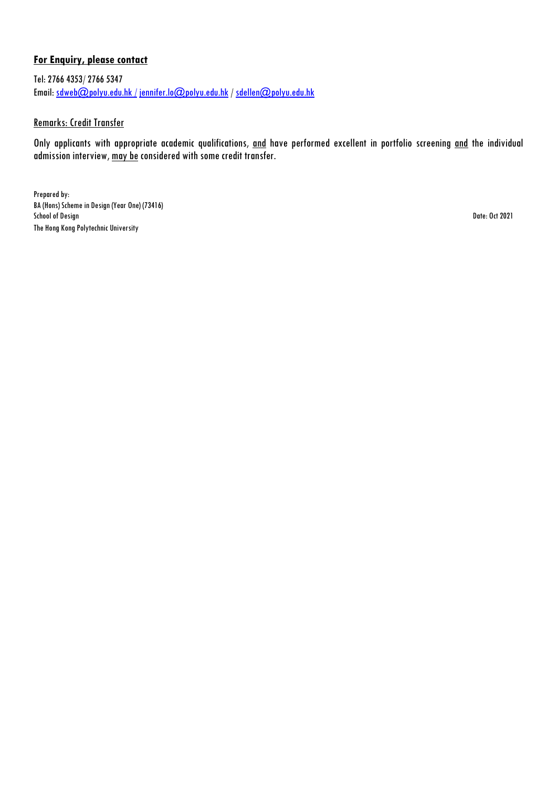### **For Enquiry, please contact**

Tel: 2766 4353/ 2766 5347 Email: [sdweb@polyu.edu.hk /](mailto:sdweb@polyu.edu.hk%20/) [jennifer.lo@polyu.edu.hk](mailto:jennifer.lo@polyu.edu.hk) / [sdellen@polyu.edu.hk](mailto:sdellen@polyu.edu.hk)

#### Remarks: Credit Transfer

Only applicants with appropriate academic qualifications, and have performed excellent in portfolio screening and the individual admission interview, may be considered with some credit transfer.

Prepared by: BA (Hons) Scheme in Design (Year One) (73416) School of Design Date: Oct 2021 The Hong Kong Polytechnic University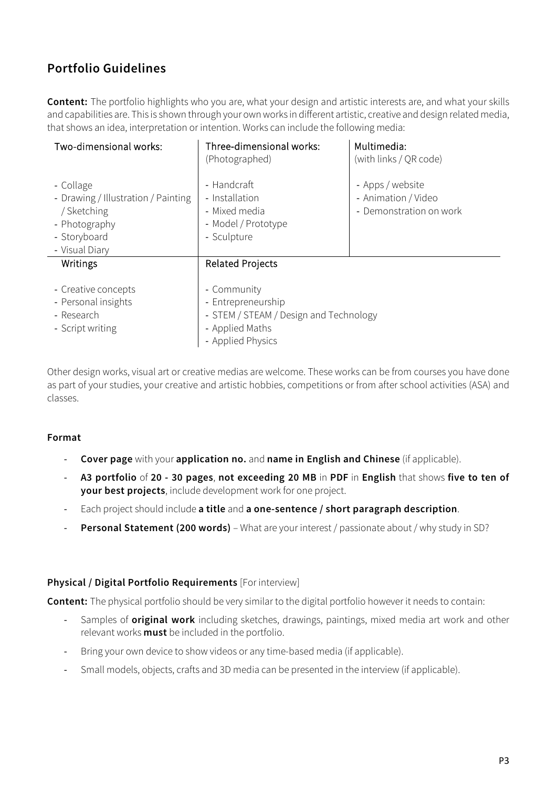## **Portfolio Guidelines**

**Content:** The portfolio highlights who you are, what your design and artistic interests are, and what your skills and capabilities are. This is shown through your own works in different artistic, creative and design related media, that shows an idea, interpretation or intention. Works can include the following media:

| Two-dimensional works:                                                                                             | Three-dimensional works:<br>(Photographed)                                                                                                     | Multimedia:<br>(with links / QR code)                              |
|--------------------------------------------------------------------------------------------------------------------|------------------------------------------------------------------------------------------------------------------------------------------------|--------------------------------------------------------------------|
| - Collage<br>- Drawing / Illustration / Painting<br>/ Sketching<br>- Photography<br>- Storyboard<br>- Visual Diary | - Handcraft<br>- Installation<br>- Mixed media<br>- Model / Prototype<br>- Sculpture                                                           | - Apps / website<br>- Animation / Video<br>- Demonstration on work |
| Writings<br>- Creative concepts<br>- Personal insights<br>- Research<br>- Script writing                           | <b>Related Projects</b><br>- Community<br>- Entrepreneurship<br>- STEM / STEAM / Design and Technology<br>- Applied Maths<br>- Applied Physics |                                                                    |

Other design works, visual art or creative medias are welcome. These works can be from courses you have done as part of your studies, your creative and artistic hobbies, competitions or from after school activities (ASA) and classes.

#### **Format**

- **Cover page** with your **application no.** and **name in English and Chinese** (if applicable).
- **A3 portfolio** of **20 - 30 pages**, **not exceeding 20 MB** in **PDF** in **English** that shows **five to ten of your best projects**, include development work for one project.
- Each project should include **a title** and **a one-sentence / short paragraph description**.
- **Personal Statement (200 words)** What are your interest / passionate about / why study in SD?

### **Physical / Digital Portfolio Requirements** [For interview]

**Content:** The physical portfolio should be very similar to the digital portfolio however it needs to contain:

- Samples of **original work** including sketches, drawings, paintings, mixed media art work and other relevant works **must** be included in the portfolio.
- Bring your own device to show videos or any time-based media (if applicable).
- Small models, objects, crafts and 3D media can be presented in the interview (if applicable).